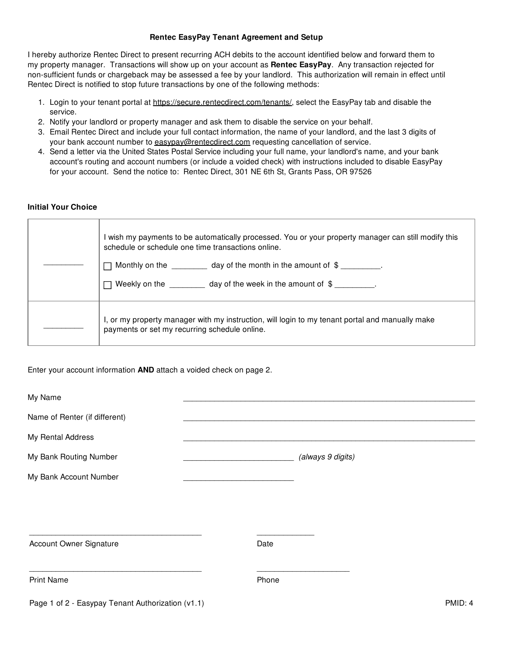## **Rentec EasyPay Tenant Agreement and Setup**

I hereby authorize Rentec Direct to present recurring ACH debits to the account identified below and forward them to my property manager. Transactions will show up on your account as **Rentec EasyPay**. Any transaction rejected for non-sufficient funds or chargeback may be assessed a fee by your landlord. This authorization will remain in effect until Rentec Direct is notified to stop future transactions by one of the following methods:

- 1. Login to your tenant portal at https://secure.rentecdirect.com/tenants/, select the EasyPay tab and disable the service.
- 2. Notify your landlord or property manager and ask them to disable the service on your behalf.
- 3. Email Rentec Direct and include your full contact information, the name of your landlord, and the last 3 digits of your bank account number to easypay@rentecdirect.com requesting cancellation of service.
- 4. Send a letter via the United States Postal Service including your full name, your landlord's name, and your bank account's routing and account numbers (or include a voided check) with instructions included to disable EasyPay for your account. Send the notice to: Rentec Direct, 301 NE 6th St, Grants Pass, OR 97526

## **Initial Your Choice**

| I wish my payments to be automatically processed. You or your property manager can still modify this<br>schedule or schedule one time transactions online.<br>Monthly on the $\frac{1}{\sqrt{1-\frac{1}{\sqrt{1-\frac{1}{\sqrt{1-\frac{1}{\sqrt{1-\frac{1}{\sqrt{1-\frac{1}{\sqrt{1-\frac{1}{\sqrt{1-\frac{1}{\sqrt{1-\frac{1}{\sqrt{1-\frac{1}{\sqrt{1-\frac{1}{\sqrt{1-\frac{1}{\sqrt{1-\frac{1}{\sqrt{1-\frac{1}{\sqrt{1-\frac{1}{\sqrt{1-\frac{1}{\sqrt{1-\frac{1}{\sqrt{1-\frac{1}{\sqrt{1-\frac{1}{\sqrt{1-\frac{1}{\sqrt{1-\frac{1}{\sqrt{1-\frac{1}{\sqrt{1-\frac{1}{\sqrt$<br>Weekly on the day of the week in the amount of $\oint$ . |
|-------------------------------------------------------------------------------------------------------------------------------------------------------------------------------------------------------------------------------------------------------------------------------------------------------------------------------------------------------------------------------------------------------------------------------------------------------------------------------------------------------------------------------------------------------------------------------------------------------------------------------------------------|
| I, or my property manager with my instruction, will login to my tenant portal and manually make<br>payments or set my recurring schedule online.                                                                                                                                                                                                                                                                                                                                                                                                                                                                                                |

Enter your account information **AND** attach a voided check on page 2.

\_\_\_\_\_\_\_\_\_\_\_\_\_\_\_\_\_\_\_\_\_\_\_\_\_\_\_\_\_\_\_\_\_\_\_\_\_\_\_ \_\_\_\_\_\_\_\_\_\_\_\_\_\_\_\_\_\_\_\_\_

| My Name                       |      |                   |
|-------------------------------|------|-------------------|
| Name of Renter (if different) |      |                   |
| My Rental Address             |      |                   |
| My Bank Routing Number        |      | (always 9 digits) |
| My Bank Account Number        |      |                   |
|                               |      |                   |
|                               |      |                   |
| Account Owner Signature       | Date |                   |

Print Name **Phone** Phone **Phone**